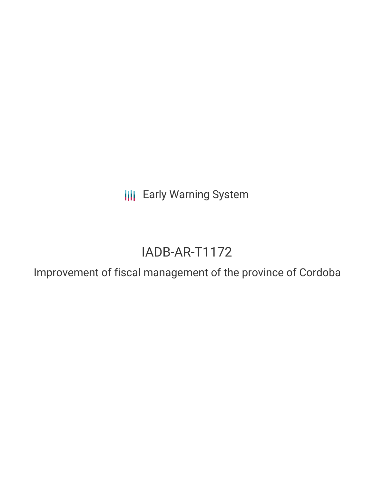**III** Early Warning System

# IADB-AR-T1172

Improvement of fiscal management of the province of Cordoba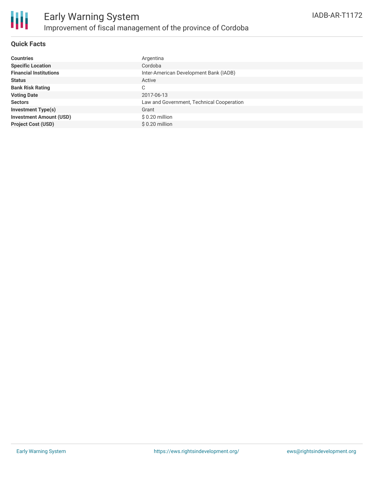

#### **Quick Facts**

| <b>Countries</b>               | Argentina                                 |
|--------------------------------|-------------------------------------------|
| <b>Specific Location</b>       | Cordoba                                   |
| <b>Financial Institutions</b>  | Inter-American Development Bank (IADB)    |
| <b>Status</b>                  | Active                                    |
| <b>Bank Risk Rating</b>        | С                                         |
| <b>Voting Date</b>             | 2017-06-13                                |
| <b>Sectors</b>                 | Law and Government, Technical Cooperation |
| <b>Investment Type(s)</b>      | Grant                                     |
| <b>Investment Amount (USD)</b> | \$0.20 million                            |
| <b>Project Cost (USD)</b>      | $$0.20$ million                           |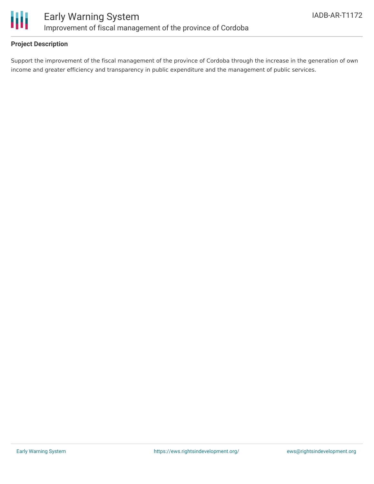

### **Project Description**

Support the improvement of the fiscal management of the province of Cordoba through the increase in the generation of own income and greater efficiency and transparency in public expenditure and the management of public services.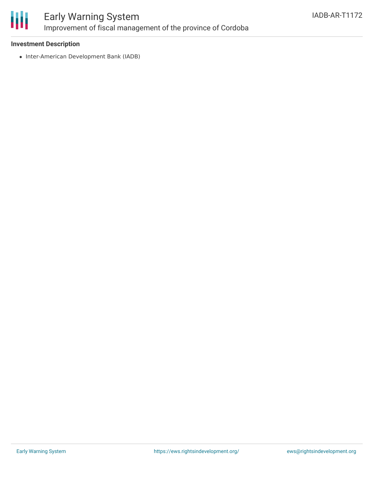

## Early Warning System Improvement of fiscal management of the province of Cordoba

### **Investment Description**

• Inter-American Development Bank (IADB)